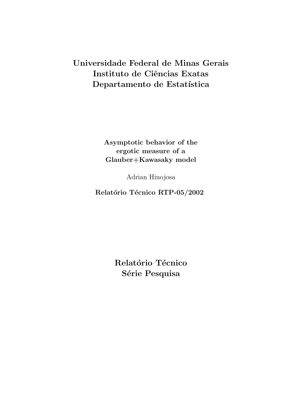# Universidade Federal de Minas Gerais Instituto de Ciências Exatas Departamento de Estatística

Asymptotic behavior of the ergotic measure of a Glauber+Kawasaky model

Adrian Hinojosa

Relatório Técnico RTP-05/2002

Relatório Técnico Série Pesquisa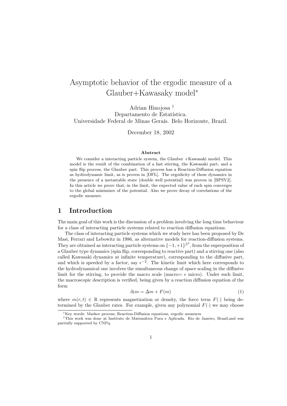## Asymptotic behavior of the ergodic measure of a Glauber+Kawasaky model<sup>∗</sup>

Adrian Hinojosa † Departamento de Estatística. Universidade Federal de Minas Gerais. Belo Horizonte, Brazil.

December 18, 2002

#### Abstract

We consider a interacting particle system, the Glauber +Kawasaki model. This model is the result of the combination of a fast stirring, the Kawasaki part, and a spin flip process, the Glauber part. This process has a Reaction-Diffusion equation as hydrodynamic limit, as is proven in [DFL]. The ergodicity of these dynamics in the presence of a metastable state (double well potential) was proven in [BPSV2]. In this article we prove that, in the limit, the expected value of each spin converges to the global minimizer of the potential. Also we prove decay of correlations of the ergodic measure.

## 1 Introduction

The main goal of this work is the discussion of a problem involving the long time behaviour for a class of interacting particle systems related to reaction diffusion equations.

The class of interacting particle systems which we study here has been proposed by De Masi, Ferrari and Lebowitz in 1986, as alternative models for reaction-diffusion systems. They are obtained as interacting particle systems on  $\{-1,+1\}^{\mathbb{Z}^d}$ , from the superposition of a Glauber type dynamics (spin flip, corresponding to reactive part) and a stirring one (also called Kawasaki dynamics at infinite temperature), corresponding to the diffusive part, and which is speeded by a factor, say  $\epsilon^{-2}$ . The kinetic limit which here corresponds to the hydrodynamical one involves the simultaneous change of space scaling in the diffusive limit for the stirring, to provide the macro scale (macro=  $\epsilon$  micro). Under such limit, the macroscopic description is verified, being given by a reaction diffusion equation of the form

$$
\partial_t m = \Delta m + F(m) \tag{1}
$$

where  $m(r,t) \in \mathbb{R}$  represents magnetization or density, the force term  $F(\cdot)$  being determined by the Glauber rates. For example, given any polynomial  $F(\cdot)$  we may choose

<sup>∗</sup>Key words: Markov process, Reaction-Diffusion equations, ergodic measures

<sup>†</sup>This work was done at Instituto de Matem´atica Pura e Aplicada. Rio de Janeiro, Brazil,and was partially supported by CNPq.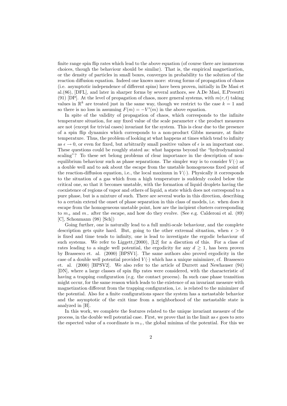finite range spin flip rates which lead to the above equation (of course there are inumerous choices, though the behaviour should be similar). That is, the empirical magnetization, or the density of particles in small boxes, converges in probability to the solution of the reaction diffusion equation. Indeed one knows more: strong forms of propagation of chaos (i.e. asymptotic independence of different spins) have been proven, initially in De Masi et al.(86), [DFL], and later in sharper forms by several authors, see A.De Masi, E.Presutti (91) [DP]. At the level of propagation of chaos, more general systems, with  $m(r, t)$  taking values in  $\mathbb{R}^k$  are treated just in the same way, though we restrict to the case  $k = 1$  and so there is no loss in assuming  $F(m) = -V'(m)$  in the above equation.

In spite of the validity of propagation of chaos, which corresponds to the infinite temperature situation, for any fixed value of the scale parameter  $\epsilon$  the product measures are not (except for trivial cases) invariant for the system. This is clear due to the presence of a spin flip dynamics which corresponds to a non-product Gibbs measure, at finite temperature. Thus, the problem of looking at what happens at times which tend to infinity as  $\epsilon \to 0$ , or even for fixed, but arbitrarily small positive values of  $\epsilon$  is an important one. These questions could be roughly stated as: what happens beyond the "hydrodynamical scaling"? To these set belong problems of clear importance in the description of nonequilibrium behaviour such as phase separations. The simpler way is to consider  $V(\cdot)$  as a double well and to ask about the escape from the unstable homogeneous fixed point of the reaction-diffusion equation, i.e., the local maximun in  $V(\cdot)$ . Physically it corresponds to the situation of a gas which from a high temperature is suddenly cooled below the critical one, so that it becomes unstable, with the formation of liquid droplets having the coexistence of regions of vapor and others of liquid, a state which does not correspond to a pure phase, but is a mixture of such. There are several works in this direction, describing to a certain extend the onset of phase separation in this class of models, i.e. when does it escape from the homogeneous unstable point, how are the incipient clusters corresponding to  $m_+$  and  $m_-$  after the escape, and how do they evolve. (See e.g. Calderoni et al. (89) [C], Schonmann (98) [Sch])

Going further, one is naturally lead to a full multi-scale behaviour, and the complete description gets quite hard. But, going to the other extremal situation, when  $\epsilon > 0$ is fixed and time tends to infinity, one is lead to investigate the ergodic behaviour of such systems. We refer to Liggett,(2000), [L2] for a discution of this. For a class of rates leading to a single well potential, the ergodicity for any  $d \geq 1$ , has been proven by Brassesco et. al. (2000) [BPSV1]. The same authors also proved ergodicity in the case of a double well potential provided  $V(\cdot)$  which has a unique minimizer, cf. Brassesco et. al. (2000) [BPSV2]. We also refer to the article of Durrett and Newhauser (94) [DN], where a large classes of spin flip rates were considered, with the characteristic of having a trapping configuration (e.g. the contact process). In such case phase transition might occur, for the same reason which leads to the existence of an invariant measure with magnetization different from the trapping configuration, i.e. is related to the minimizer of the potential. Also for a finite configurations space the system has a metastable behavior and the asymptotic of the exit time from a neighborhood of the metastable state is analyzed in [H].

In this work, we complete the features related to the unique invariant measure of the process, in the double well potential case. First, we prove that in the limit as  $\epsilon$  goes to zero the espected value of a coordinate is  $m_{+}$ , the global minima of the potential. For this we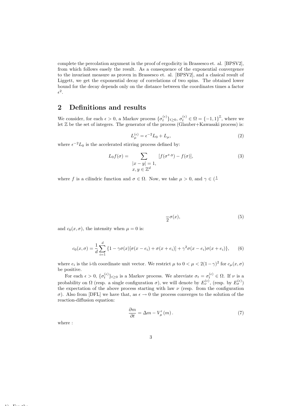complete the percolation argument in the proof of ergodicity in Brassesco et. al. [BPSV2], from which follows easely the result. As a consequence of the exponential convergence to the invariant measure as proven in Brassesco et. al. [BPSV2], and a clasical result of Liggett, we get the exponential decay of correlations of two spins. The obtained lower bound for the decay depends only on the distance between the coordinates times a factor  $\epsilon^2.$ 

### 2 Definitions and results

We consider, for each  $\epsilon > 0$ , a Markov process  $\{\sigma_t^{(\epsilon)}\}_{t\geq 0}, \sigma_t^{(\epsilon)} \in \Omega = \{-1,1\}^{\mathbb{Z}}$ , where we let  $\mathbb Z$  be the set of integers. The generator of the process (Glauber+Kawasaki process) is:

$$
L_{\mu}^{(\epsilon)} = \epsilon^{-2} L_0 + L_{\mu},\tag{2}
$$

where  $\epsilon^{-2}L_0$  is the accelerated stirring process defined by:

$$
L_0 f(\sigma) = \sum_{\substack{|x - y| = 1, \\ x, y \in \mathbb{Z}^d}} [f(\sigma^{x,y}) - f(\sigma)],
$$
\n(3)

where f is a cilindric function and  $\sigma \in \Omega$ . Now, we take  $\mu > 0$ , and  $\gamma \in (\frac{1}{\sigma})$ 

$$
\frac{1}{2}\sigma(x),\tag{5}
$$

and  $c_0(x, \sigma)$ , the intensity when  $\mu = 0$  is:

$$
c_0(x,\sigma) = \frac{1}{d} \sum_{i=1}^d \{1 - \gamma \sigma(x) [\sigma(x - e_i) + \sigma(x + e_i)] + \gamma^2 \sigma(x - e_i) \sigma(x + e_i) \}, \quad (6)
$$

where  $e_i$  is the i-th coordinate unit vector. We restrict  $\mu$  to  $0 < \mu < 2(1-\gamma)^2$  for  $c_{\mu}(x,\sigma)$ be positive.

For each  $\epsilon > 0$ ,  $\{\sigma_t^{(\epsilon)}\}_{t \geq 0}$  is a Markov process. We abreviate  $\sigma_t = \sigma_t^{(\epsilon)} \in \Omega$ . If  $\nu$  is a probability on  $\Omega$  (resp. a single configuration  $\sigma$ ), we will denote by  $E_{\nu}^{(\epsilon)}$ , (resp. by  $E_{\sigma}^{(\epsilon)}$ ) the expectation of the above process starting with law  $\nu$  (resp. from the configuration σ). Also from [DFL] we have that, as  $\epsilon \to 0$  the process converges to the solution of the reaction-diffusion equation:

$$
\frac{\partial m}{\partial t} = \Delta m - V'_{\mu}(m). \tag{7}
$$

where :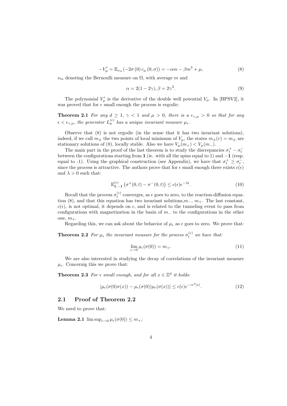$$
-V'_{\mu} = \mathbb{E}_{\nu_m}(-2\sigma(0) c_{\mu}(0, \sigma)) = -\alpha m - \beta m^3 + \mu,
$$
\n(8)

 $\nu_m$  denoting the Bernoulli measure on  $\Omega$ , with average m and

$$
\alpha = 2(1 - 2\gamma), \beta = 2\gamma^2. \tag{9}
$$

The polynomial  $V'_\mu$  is the derivative of the double well potential  $V_\mu$ . In [BPSV2], it was proved that for  $\epsilon$  small enough the process is ergodic:

**Theorem 2.1** For any  $d \geq 1$ ,  $\gamma < 1$  and  $\mu > 0$ , there is a  $\epsilon_{\gamma,\mu} > 0$  so that for any  $\epsilon < \epsilon_{\gamma,\mu}$ , the generator  $L_{\mu}^{(\epsilon)}$  has a unique invariant measure  $\mu_{\epsilon}$ .

Observe that (8) is not ergodic (in the sense that it has two invariant solutions), indeed, if we call  $m_{\pm}$  the two points of local minimum of  $V_{\mu}$ , the states  $m_{\pm}(r) = m_{\pm}$  are stationary solutions of (8), locally stable. Also we have  $V_\mu(m_+) < V_\mu(m_-)$ .

The main part in the proof of the last theorem is to study the discrepancies  $\sigma_t^+ - \sigma_t^$ between the configurations starting from 1 (ie. with all the spins equal to 1) and −1 (resp. equal to -1). Using the graphical construction (see Appendix), we have that  $\sigma_t^+ \geq \sigma_t^-$ , since the process is attractive. The authors prove that for  $\epsilon$  small enough there exists  $c(\epsilon)$ and  $\lambda > 0$  such that:

$$
\mathbb{E}_{1,-1}^{(\epsilon)}\left(\sigma^+(0,t)-\sigma^-(0,t)\right) \le c(\epsilon)e^{-\lambda t}.\tag{10}
$$

Recall that the process  $\sigma_t^{(\epsilon)}$  converges, as  $\epsilon$  goes to zero, to the reaction-diffusion equation (8), and that this equation has two invariant solutions, $m_-, m_+$ . The last constant,  $c(\epsilon)$ , is not optimal, it depends on  $\epsilon$ , and is related to the tunneling event to pass from configurations with magnetization in the basin of  $m_$  to the configurations in the other one,  $m_{+}$ .

Regarding this, we can ask about the behavior of  $\mu_{\epsilon}$  as  $\epsilon$  goes to zero. We prove that:

**Theorem 2.2** For  $\mu_{\epsilon}$  the invariant measure for the process  $\sigma_t^{(\epsilon)}$  we have that:

$$
\lim_{\epsilon \to 0} \mu_{\epsilon}(\sigma(0)) = m_+.\tag{11}
$$

We are also interested in studying the decay of correlations of the invariant measure  $\mu_{\epsilon}$ . Concernig this we prove that:

**Theorem 2.3** For  $\epsilon$  small enough, and for all  $x \in \mathbb{Z}^d$  it holds:

$$
|\mu_{\epsilon}(\sigma(0)\sigma(x)) - \mu_{\epsilon}(\sigma(0))\mu_{\epsilon}(\sigma(x))| \le c(\epsilon)e^{-c\epsilon^2|x|}.
$$
 (12)

#### 2.1 Proof of Theorem 2.2

We need to prove that:

**Lemma 2.1**  $\limsup_{\epsilon \to 0} \mu_{\epsilon}(\sigma(0)) \leq m_+$ ;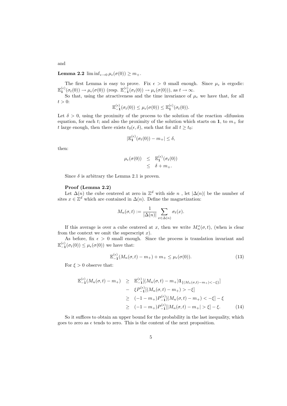**Lemma 2.2** lim inf $_{\epsilon \to 0} \mu_{\epsilon}(\sigma(0)) \geq m_+$ .

The first Lemma is easy to prove. Fix  $\epsilon > 0$  small enough. Since  $\mu_{\epsilon}$  is ergodic:  $\mathbb{E}_{\mathbf{1}}^{(\epsilon)}(\sigma_t(0)) \to \mu_\epsilon(\sigma(0))$  (resp.  $\mathbb{E}_{\mathbf{-1}}^{(\epsilon)}(\sigma_t(0)) \to \mu_\epsilon(\sigma(0))$ ), as  $t \to \infty$ .

So that, using the atractiveness and the time invariance of  $\mu_{\epsilon}$  we have that, for all  $t > 0$ :

$$
\mathbb{E}_{-1}^{(\epsilon)}(\sigma_t(0)) \leq \mu_{\epsilon}(\sigma(0)) \leq \mathbb{E}_{1}^{(\epsilon)}(\sigma_t(0)).
$$

Let  $\delta > 0$ , using the proximity of the process to the solution of the reaction -difussion equation, for each t; and also the proximity of the solution which starts on 1, to  $m_+$  for t large enough, then there exists  $t_0(\epsilon, \delta)$ , such that for all  $t \ge t_0$ :

$$
|\mathbb{E}_{\mathbf{1}}^{(\epsilon)}(\sigma_t(0)) - m_+| \le \delta,
$$

then:

$$
\mu_{\epsilon}(\sigma(0)) \leq \mathbb{E}_{1}^{(\epsilon)}(\sigma_{t}(0))
$$
  

$$
\leq \delta + m_{+}.
$$

Since  $\delta$  is arbitrary the Lemma 2.1 is proven.

#### Proof (Lemma 2.2)

Let  $\Delta(n)$  the cube centered at zero in  $\mathbb{Z}^d$  with side n, let  $|\Delta(n)|$  be the number of sites  $x \in \mathbb{Z}^d$  which are contained in  $\Delta(n)$ . Define the magnetization:

$$
M_n(\sigma, t) := \frac{1}{|\Delta(n)|} \sum_{x \in \Delta(n)} \sigma_t(x).
$$

If this average is over a cube centered at x, then we write  $M_n^x(\sigma, t)$ , (when is clear from the context we omit the superscript  $x$ ).

As before, fix  $\epsilon > 0$  small enough. Since the process is translation invariant and  $\mathbb{E}_{-1}^{(\epsilon)}(\sigma_t(0)) \leq \mu_{\epsilon}(\sigma(0))$  we have that:

$$
\mathbb{E}_{-1}^{(\epsilon)}(M_n(\sigma, t) - m_+) + m_+ \le \mu_\epsilon(\sigma(0)).\tag{13}
$$

For  $\xi > 0$  observe that:

$$
\mathbb{E}_{-1}^{(\epsilon)}(M_n(\sigma, t) - m_+) \geq \mathbb{E}_{-1}^{(\epsilon)}[(M_n(\sigma, t) - m_+) \mathbf{1}_{\{(M_n(\sigma, t) - m_+) < -\xi\}}] \n- \xi P_{-1}^{(\epsilon)}[(M_n(\sigma, t) - m_+) > -\xi] \n\geq (-1 - m_+) P_{-1}^{(\epsilon)}[(M_n(\sigma, t) - m_+) < -\xi] - \xi \n\geq (-1 - m_+) P_{-1}^{(\epsilon)}[|M_n(\sigma, t) - m_+| > \xi] - \xi.
$$
\n(14)

So it suffices to obtain an upper bound for the probability in the last inequality, which goes to zero as  $\epsilon$  tends to zero. This is the content of the next proposition.

and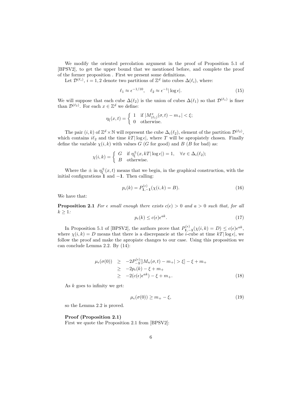We modify the oriented percolation argument in the proof of Proposition 5.1 of [BPSV2], to get the upper bound that we mentioned before, and complete the proof of the former proposition . First we present some definitions.

Let  $\mathcal{D}^{(\ell_i)}$ ,  $i = 1, 2$  denote two partitions of  $\mathbb{Z}^d$  into cubes  $\Delta(\ell_i)$ , where:

$$
\ell_1 \approx \epsilon^{-1/10}, \quad \ell_2 \approx \epsilon^{-1} |\log \epsilon|. \tag{15}
$$

We will suppose that each cube  $\Delta(\ell_2)$  is the union of cubes  $\Delta(\ell_1)$  so that  $\mathcal{D}^{(\ell_1)}$  is finer than  $\mathcal{D}^{(\ell_2)}$ . For each  $x \in \mathbb{Z}^d$  we define:

$$
\eta_{\xi}(x,t) = \begin{cases} 1 & \text{if } |M^x_{(\ell_1)}(\sigma, t) - m_+| < \xi; \\ 0 & \text{otherwise.} \end{cases}
$$

The pair  $(i, k)$  of  $\mathbb{Z}^d \times \mathbb{N}$  will represent the cube  $\Delta_i(\ell_2)$ , element of the partition  $\mathcal{D}^{(\ell_2)}$ , which contains  $i\ell_2$  and the time  $kT|\log \epsilon|$ , where T will be apropiately chosen. Finally define the variable  $\chi(i, k)$  with values G (G for good) and B (B for bad) as:

$$
\chi(i,k) = \begin{cases} G & \text{if } \eta_{\xi}^{\pm}(x,kT|\log\epsilon|) = 1, \quad \forall x \in \Delta_i(\ell_2); \\ B & \text{otherwise.} \end{cases}
$$

Where the  $\pm$  in  $\eta_{\xi}^{\pm}(x,t)$  means that we begin, in the graphical construction, with the initial configurations  $\hat{1}$  and  $-1$ . Then calling:

$$
p_{\epsilon}(k) = P_{1,-1}^{(\epsilon)}(\chi(i,k) = B). \tag{16}
$$

We have that:

**Proposition 2.1** For  $\epsilon$  small enough there exists  $c(\epsilon) > 0$  and  $a > 0$  such that, for all  $k \geq 1$ :

$$
p_{\epsilon}(k) \le c(\epsilon)\epsilon^{ak}.\tag{17}
$$

In Proposition 5.1 of [BPSV2], the authors prove that  $P_{1,-1}^{(\epsilon)}(\chi(i,k) = D) \leq c(\epsilon)\epsilon^{ak}$ , where  $\chi(i,k) = D$  means that there is a discrepancie at the *i*-cube at time  $kT|\log \epsilon|$ , we follow the proof and make the apropiate changes to our case. Using this proposition we can conclude Lemma 2.2. By (14):

 $\sim$ 

$$
\mu_{\epsilon}(\sigma(0)) \ge -2P_{-1}^{(\epsilon)}[|M_n(\sigma, t) - m_+| > \xi] - \xi + m_+ \ge -2p_{\epsilon}(k) - \xi + m_+ \ge -2(c(\epsilon)\epsilon^{ak}) - \xi + m_+.
$$
\n(18)

As  $k$  goes to infinity we get:

$$
\mu_{\epsilon}(\sigma(0)) \ge m_{+} - \xi,\tag{19}
$$

so the Lemma 2.2 is proved.

#### Proof (Proposition 2.1)

First we quote the Proposition 2.1 from [BPSV2]: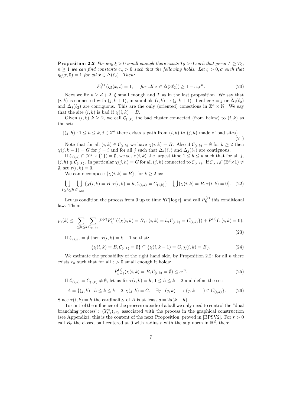**Proposition 2.2** For any  $\xi > 0$  small enough there exists  $T_0 > 0$  such that given  $T \geq T_0$ ,  $n \geq 1$  we can find constants  $c_n > 0$  such that the following holds. Let  $\xi > 0$ ,  $\sigma$  such that  $\eta_{\xi}(x,0) = 1$  for all  $x \in \Delta(\ell_2)$ . Then:

$$
P_{\sigma}^{(\epsilon)}\left(\eta_{\xi}(x,t) = 1, \quad \text{ for all } x \in \Delta(3\ell_2)\right) \ge 1 - c_n \epsilon^n. \tag{20}
$$

Next we fix  $n \geq d+2$ ,  $\xi$  small enough and T as in the last proposition. We say that  $(i, k)$  is connected with  $(j, k + 1)$ , in sinmbols  $(i, k) \rightarrow (j, k + 1)$ , if either  $i = j$  or  $\Delta_i(\ell_2)$ and  $\Delta_j(\ell_2)$  are contiguous. This are the only (oriented) conections in  $\mathbb{Z}^d \times \mathbb{N}$ . We say that the site  $(i, k)$  is bad if  $\chi(i, k) = B$ .

Given  $(i, k), k \geq 2$ , we call  $\mathcal{C}_{(i,k)}$  the bad cluster connected (from below) to  $(i, k)$  as the set:

$$
\{(j,h): 1 \le h \le k, j \in \mathbb{Z}^d \text{ there exists a path from } (i,k) \text{ to } (j,h) \text{ made of bad sites}\}.
$$
\n(21)

Note that for all  $(i, k) \in \mathcal{C}_{(i,k)}$  we have  $\chi(i, k) = B$ . Also if  $\mathcal{C}_{(i,k)} = \emptyset$  for  $k \geq 2$  then  $\chi(j, k - 1) = G$  for  $j = i$  and for all j such that  $\Delta_i(\ell_2)$  and  $\Delta_j(\ell_2)$  are contiguous.

If  $\mathcal{C}_{(i,k)} \cap (\mathbb{Z}^d \times \{1\}) = \emptyset$ , we set  $\tau(i,k)$  the largest time  $1 \leq k \leq k$  such that for all j,  $(j, h) \notin \mathcal{C}_{(i,k)}$ . In particular  $\chi(j, h) = G$  for all  $(j, h)$  connected to  $\mathcal{C}_{(i,k)}$ . If  $\mathcal{C}_{(i,k)} \cap (\mathbb{Z}^d \times 1) \neq$  $\emptyset$ , set  $\tau(i,k) = 0$ .

We can decompose  $\{\chi(i,k)=B\}$ , for  $k \geq 2$  as:

$$
\bigcup_{1 \leq h \leq k} \bigcup_{C(i,k)} \{ \chi(i,k) = B, \tau(i,k) = h, C_{(i,k)} = C_{(i,k)} \} \quad \bigcup \{ \chi(i,k) = B, \tau(i,k) = 0 \}. \tag{22}
$$

Let us condition the process from 0 up to time  $hT|\log \epsilon|$ , and call  $P_h^{(\epsilon)}$  $h^{(\epsilon)}$  this conditional law. Then:

$$
p_{\epsilon}(k) \leq \sum_{1 \leq h \leq k} \sum_{C_{(i,k)}} P^{(\epsilon)} P_h^{(\epsilon)}(\{\chi(i,k) = B, \tau(i,k) = h, C_{(i,k)} = C_{(i,k)}\}) + P^{(\epsilon)}(\tau(i,k) = 0).
$$
\n(23)

If  $\mathcal{C}_{(i,k)} = \emptyset$  then  $\tau(i,k) = k-1$  so that:

$$
\{\chi(i,k) = B, \mathcal{C}_{(i,k)} = \emptyset\} \subseteq \{\chi(i,k-1) = G, \chi(i,k) = B\}.
$$
\n(24)

We estimate the probability of the right hand side, by Proposition 2.2: for all  $n$  there exists  $c_n$  such that for all  $\epsilon > 0$  small enough it holds:

$$
P_{k-1}^{(\epsilon)}(\chi(i,k) = B, \mathcal{C}_{(i,k)} = \emptyset) \le c\epsilon^n.
$$
\n(25)

If  $\mathcal{C}_{(i,k)} = \mathcal{C}_{(i,k)} \neq \emptyset$ , let us fix  $\tau(i,k) = h, 1 \leq h \leq k-2$  and define the set:

$$
A = \{ (j, \tilde{k}) : h \le \tilde{k} \le k - 2, \chi(j, \tilde{k}) = G, \quad \exists \tilde{j} : (j, \tilde{k}) \longrightarrow (\tilde{j}, \tilde{k} + 1) \in C_{(i,k)} \}. \tag{26}
$$

Since  $\tau(i,k) = h$  the cardinality of A is at least  $q = 2d(k - h)$ .

To control the influence of the process outside of a ball we only need to control the "dual branching process":  $(Y_{t,s}^x)_{s\leq t}$  associated with the process in the graphical construction (see Appendix), this is the content of the next Proposition, proved in [BPSV2]. For  $r > 0$ call  $B_r$  the closed ball centered at 0 with radius r with the sup norm in  $\mathbb{R}^d$ , then: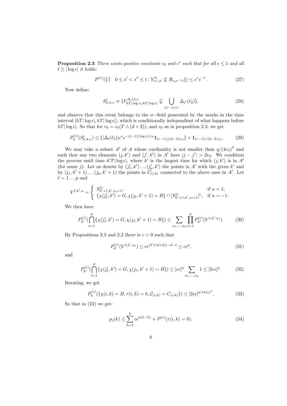**Proposition 2.3** There exists positive constants  $c_0$  and  $c^*$  such that for all  $\epsilon \leq 1$  and all  $t \geq |\log \epsilon|$  it holds:

$$
P^{(\epsilon)}(\{\exists \quad 0 \le s' < s'' \le t : Y_{s'',s'}^0 \not\subseteq B_{c_0 \epsilon^{-1} t}\}) \le c^* e^{-t}.
$$
 (27)

Now define:

$$
S_{k,h,r}^i \equiv \{ Y_{k}^{\Delta_i(\ell_2)} \Big|_{\log \epsilon, h} T |\log \epsilon| \nsubseteq \bigcup_{|j'-i| < r} \Delta_{j'}(\ell_2) \}. \tag{28}
$$

and observe that this event belongs to the  $\sigma$ -field generated by the marks in the time interval  $[hT] \log \epsilon |, kT| \log \epsilon |$ , which is conditionally independient of what happens before  $hT|\log \epsilon|$ . So that for  $r_0 = c_0(T \wedge (d+2))$ , and  $c_0$  as in proposition 2.3, we get

$$
P_h^{(\epsilon)}(S_{k,h,r}^i) \le \{ |\Delta_i(\ell_2)| c^* e^{-(r-1)|\log \epsilon|/c_0} \mathbf{1}_{(r-1)\ge (k-h)r_0} \} + \mathbf{1}_{(r-1) < (k-h)r_0}.
$$
 (29)

We may take a subset A' of A whose cardinality is not smaller than  $q/(4r_0)^d$  and such that any two elements  $(j, k')$  and  $(j', k')$  in A' have  $|j - j'| > 2r_0$ . We condition the process until time  $k'T|\log \epsilon|$ , where k' is the largest time for which  $(j, k')$  is in A' (for some j). Let us denote by  $(j'_1, k') \dots (j'_p, k')$  the points in A' with the given k' and by  $(j_1, k'+1) \dots (j_p, k'+1)$  the points in  $\hat{C}_{(i,k)}$  connected to the above ones in A'. Let  $\ell = 1 \dots p$  and

$$
V^{\ell,k',u} = \begin{cases} S^{j\ell}_{k'+1,k',r_0+1}, & \text{if } u = 1; \\ \{\chi(j'_\ell,k') = G, \chi(j_\ell,k'+1) = B\} \cap [S^{j\ell}_{k'+1,k',r_0+1}]^c, & \text{if } u = -1. \end{cases}
$$

We then have

$$
P_{k'}^{(\epsilon)}(\bigcap_{\ell=1}^p \{ \chi(j'_\ell,k') = G, \chi(j_\ell,k'+1) = B \}) \le \sum_{u_1,\dots,u_p} \prod_{\ell=1}^p P_{k'}^{(\epsilon)}(V^{\ell,k',u_\ell}).\tag{30}
$$

By Propositions 2.3 and 2.2 there is  $c > 0$  such that

$$
P_{k'}^{(\epsilon)}(V^{\ell,k',u_{\ell}}) \le c\epsilon^{(T\vee(d+2))-d-1} \le c\epsilon^p,\tag{31}
$$

and

$$
P_{k'}^{(\epsilon)}(\bigcap_{\ell=1}^p \{ \chi(j'_{\ell}, k') = G, \chi(j_{\ell}, k' + 1) = B \}) \leq [c\epsilon]^p \sum_{u_1, \dots, u_p} 1 \leq [2c\epsilon]^p. \tag{32}
$$

Iterating, we get

$$
P_h^{(\epsilon)}(\{\chi(i,k) = B, \tau(i,k) = h, C_{(i,k)} = C_{(i,k)}\}) \le [2c\epsilon]^{q/(4r_0)^d}.
$$
 (33)

So that in (23) we get:

$$
p_{\epsilon}(k) \le \sum_{h=1}^{k} c \epsilon^{\tilde{a}(k-h)} + P^{(\epsilon)}(\tau(i,k) = 0). \tag{34}
$$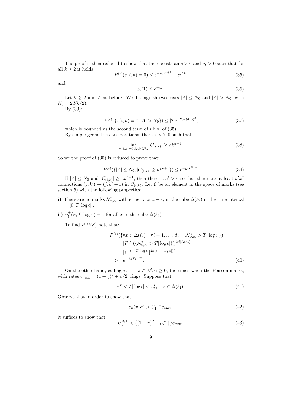The proof is then reduced to show that there exists an  $c > 0$  and  $g_{\epsilon} > 0$  such that for all  $k \geq 2$  it holds

$$
P^{(\epsilon)}(\tau(i,k) = 0) \le e^{-g_{\epsilon}k^{d+1}} + c\epsilon^{\tilde{a}k},\tag{35}
$$

and

$$
p_{\epsilon}(1) \le e^{-g_{\epsilon}}.\tag{36}
$$

Let  $k \geq 2$  and A as before. We distinguish two cases  $|A| \leq N_0$  and  $|A| > N_0$ , with  $N_0 = 2d(k/2)$ .

By (33):

$$
P^{(\epsilon)}(\{\tau(i,k)=0, |A|>N_0\}) \le [2c\epsilon]^{N_0/(4r_0)^d},\tag{37}
$$

which is bounded as the second term of r.h.s. of (35). By simple geometric considerations, there is  $a > 0$  such that

$$
\inf_{\tau(i,k)=0,|A|\leq N_0} |C_{(i,k)}| \geq ak^{d+1}.\tag{38}
$$

So we the proof of (35) is reduced to prove that:

$$
P^{(\epsilon)}(\{|A| \le N_0, |C_{(i,k)}| \ge ak^{d+1}\}) \le e^{-g_{\epsilon}k^{d+1}}.
$$
\n(39)

If  $|A| \leq N_0$  and  $|C_{(i,k)}| \geq ak^{d+1}$ , then there is  $a' > 0$  so that there are at least  $a'k^d$ connections  $(j, k') \to (j, k' + 1)$  in  $C_{(i,k)}$ . Let  $\mathcal E$  be an element in the space of marks (see section 5) with the following properties:

- i) There are no marks  $\mathcal{N}_{x,e_i}^{\epsilon}$  with either x or  $x + e_i$  in the cube  $\Delta(\ell_2)$  in the time interval  $[0, T | \log \epsilon]].$
- ii)  $\eta_{\xi}^{\pm}(x,T|\log\epsilon|) = 1$  for all x in the cube  $\Delta(\ell_2)$ .

To find  $P^{(\epsilon)}(\mathcal{E})$  note that:

$$
P^{(\epsilon)}(\{\forall x \in \Delta(\ell_2) \ \forall i = 1, ..., d: \ \mathcal{N}_{x,e_i}^{\epsilon} > T | \log \epsilon \})
$$
  
\n
$$
= [P^{(\epsilon)}(\{\mathcal{N}_{0,e_i}^{\epsilon} > T | \log \epsilon \})]^{\frac{2d|\Delta(\ell_2)|}{\epsilon}}
$$
  
\n
$$
= [e^{-\epsilon^{-2}T | \log \epsilon |}]^{2d(\epsilon^{-1} | \log \epsilon |)^{d}}
$$
  
\n
$$
> e^{-2dT \epsilon^{-5d}}.
$$
\n(40)

On the other hand, calling  $\tau_n^x$ ,  $x \in \mathbb{Z}^d$ ,  $n \geq 0$ , the times when the Poisson marks, with rates  $c_{max} = (1 + \gamma)^2 + \mu/2$ , rings. Suppose that

$$
\tau_1^x < T|\log \epsilon| < \tau_2^x, \quad x \in \Delta(\ell_2). \tag{41}
$$

Observe that in order to show that

$$
c_{\mu}(x,\sigma) > U_1^{x,+}c_{max}.
$$
\n(42)

it suffices to show that

$$
U_1^{x,+} < \left\{ (1-\gamma)^2 + \mu/2 \right\} / c_{max}.\tag{43}
$$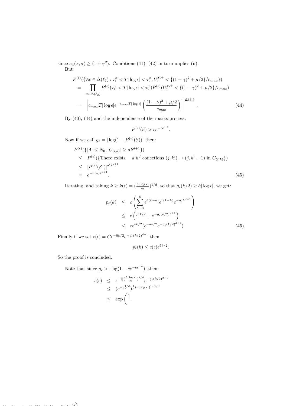since  $c_{\mu}(x, \sigma) \ge (1 + \gamma^2)$ . Conditions (41), (42) in turn implies (ii).

But

$$
P^{(\epsilon)}(\{\forall x \in \Delta(\ell_2) : \tau_1^x < T | \log \epsilon | < \tau_2^x, U_1^{x,+} < \{(1-\gamma)^2 + \mu/2\}/c_{max}\})
$$
\n
$$
= \prod_{x \in \Delta(\ell_2)} P^{(\epsilon)}(\tau_1^x < T | \log \epsilon | < \tau_2^x) P^{(\epsilon)}(U_1^{x,+} < \{(1-\gamma)^2 + \mu/2\}/c_{max})
$$
\n
$$
= \left[c_{max} T | \log \epsilon | e^{-c_{max} T | \log \epsilon} \left(\frac{(1-\gamma)^2 + \mu/2}{c_{max}}\right)\right]^{\left|\Delta(\ell_2)\right|}.\tag{44}
$$

By (40), (44) and the independence of the marks process:

$$
P^{(\epsilon)}(\mathcal{E}) > \tilde{c}e^{-c\epsilon^{-a}}.
$$

Now if we call  $g_{\epsilon} = |\log(1 - P^{(\epsilon)}(\mathcal{E}))|$  then:

$$
P^{(\epsilon)}(\{|A| \le N_0, |C_{(i,k)}| \ge ak^{d+1}\})
$$
  
\n
$$
\le P^{(\epsilon)}(\{\text{There exists } a'k^d \text{ conections } (j,k') \to (j,k'+1) \text{ in } C_{(i,k)}\})
$$
  
\n
$$
\le [P^{(\epsilon)}(\mathcal{E}^c)]^{a'k^{d+1}}
$$
  
\n
$$
= e^{-a'g_{\epsilon}k^{d+1}}.
$$
\n(45)

Iterating, and taking  $k \geq k(\epsilon) = \left(\frac{\tilde{a} |\log \epsilon|}{a}\right)$  $\frac{\log \epsilon}{g_{\epsilon}}$ )<sup>1/d</sup>, so that  $g_{\epsilon}(k/2) \geq \tilde{a} |\log \epsilon|$ , we get:

$$
p_{\epsilon}(k) \leq c \left( \sum_{h=0}^{k} \epsilon^{\tilde{a}(k-h)} e^{c(k-h)} e^{-g_{\epsilon}h^{d+1}} \right)
$$
  
\n
$$
\leq c \left( \epsilon^{\tilde{a}k/2} + e^{-g_{\epsilon}(k/2)^{d+1}} \right)
$$
  
\n
$$
\leq c \epsilon^{\tilde{a}k/2} (\epsilon^{-\tilde{a}k/2} e^{-g_{\epsilon}(k/2)^{d+1}}).
$$
 (46)

Finally if we set  $c(\epsilon) = C \epsilon^{-\tilde{a}k/2} e^{-g_{\epsilon}(k/2)^{d+1}}$  then

$$
p_{\epsilon}(k) \le c(\epsilon) \epsilon^{\tilde{a}k/2}.
$$

So the proof is concluded.

Note that since  $g_{\epsilon} > |\log(1 - \tilde{c}e^{-c\epsilon^{-a}})|$  then:

$$
c(\epsilon) \leq \epsilon^{-\frac{\tilde{a}}{2}(\frac{\tilde{a}|\log \epsilon|}{g_{\epsilon}})^{1/d}} e^{-g_{\epsilon}(k/2)^{d+1}}
$$
  
 
$$
\leq (e^{-g_{\epsilon}^{1/d}})^{\frac{1}{2}(\tilde{a}|\log \epsilon|)^{1+1/d}}
$$
  
 
$$
\leq \exp\left(\frac{1}{\epsilon}\right)
$$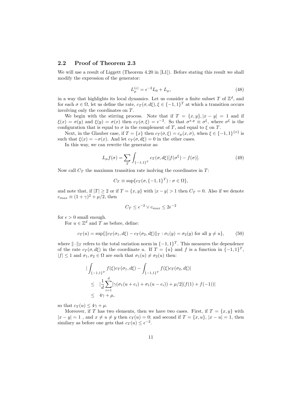#### 2.2 Proof of Theorem 2.3

We will use a result of Liggett (Theorem 4.20 in [L1]). Before stating this result we shall modify the expression of the generator:

$$
L_{\mu}^{(\epsilon)} = \epsilon^{-2} L_0 + L_{\mu},\tag{48}
$$

in a way that highlights its local dynamics. Let us consider a finite subset T of  $\mathbb{Z}^d$ , and for each  $\sigma \in \Omega$ , let us define the rate,  $c_T(\sigma, d\xi), \xi \in \{-1, 1\}^T$  at which a transition occurs involving only the coordinates on T.

We begin with the stirring process. Note that if  $T = \{x, y\}, |x - y| = 1$  and if  $\xi(x) = \sigma(y)$  and  $\xi(y) = \sigma(x)$  then  $c_T(\sigma, \xi) = \epsilon^{-2}$ . So that  $\sigma^{x,y} \equiv \sigma^{\xi}$ , where  $\sigma^{\xi}$  is the configuration that is equal to  $\sigma$  in the complement of T, and equal to  $\xi$  on T.

Next, in the Glauber case, if  $T = \{x\}$  then  $c_T(\sigma, \xi) = c_\mu(x, \sigma)$ , when  $\xi \in \{-1, 1\}^{\{x\}}$  is such that  $\xi(x) = -\sigma(x)$ . And let  $c_T(\sigma, d\xi) = 0$  in the other cases.

In this way, we can rewrite the generator as:

$$
L_{\mu}f(\sigma) = \sum_{T} \int_{\{-1,1\}^T} c_T(\sigma, d\xi) [f(\sigma^{\xi}) - f(\sigma)]. \tag{49}
$$

Now call  $C_T$  the maximun transition rate inolving the coordinates in T:

$$
C_T \equiv \sup\{c_T(\sigma, \{-1, 1\}^T) : \sigma \in \Omega\},\
$$

and note that, if  $|T| \ge 2$  or if  $T = \{x, y\}$  with  $|x - y| > 1$  then  $C_T = 0$ . Also if we denote  $c_{max} \equiv (1 + \gamma)^2 + \mu/2$ , then

$$
C_T \le \epsilon^{-2} \vee c_{max} \le 2\epsilon^{-2}
$$

for  $\epsilon > 0$  small enough.

For  $u \in \mathbb{Z}^d$  and T as before, define:

$$
c_T(u) = \sup\{\|c_T(\sigma_1, d\xi) - c_T(\sigma_2, d\xi)\|_T : \sigma_1(y) = \sigma_2(y) \text{ for all } y \neq u\},\qquad(50)
$$

where  $\|\cdot\|_T$  refers to the total variation norm in  $\{-1, 1\}^T$ . This measures the dependence of the rate  $c_T(\sigma, d\xi)$  in the coordinate u. If  $T = \{u\}$  and f is a function in  $\{-1, 1\}^T$ ,  $|f| \leq 1$  and  $\sigma_1, \sigma_2 \in \Omega$  are such that  $\sigma_1(u) \neq \sigma_2(u)$  then:

$$
\begin{aligned}\n&\left| \int_{\{-1,1\}^T} f(\xi) c_T(\sigma_1, d\xi) - \int_{\{-1,1\}^T} f(\xi) c_T(\sigma_2, d\xi) \right| \\
&\leq \left| \frac{1}{d} \sum_{i=1}^d [\gamma(\sigma_1(u + e_i) + \sigma_1(u - e_i)) + \mu/2] (f(1) + f(-1)) \right| \\
&\leq 4\gamma + \mu,\n\end{aligned}
$$

so that  $c_T(u) \leq 4\gamma + \mu$ .

Moreover, if T has two elements, then we have two cases. First, if  $T = \{x, y\}$  with  $|x - y| = 1$ , and  $x \neq u \neq y$  then  $c_T(u) = 0$ ; and second if  $T = \{x, u\}$ ,  $|x - u| = 1$ , then similary as before one gets that  $c_T(u) \leq \epsilon^{-2}$ .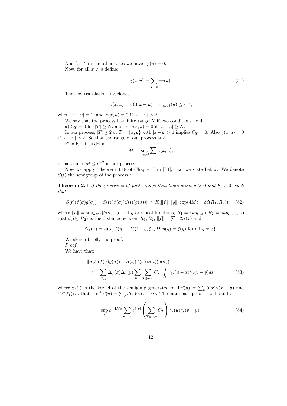And for T in the other cases we have  $c_T(u) = 0$ . Now, for all  $x \neq u$  define:

$$
\gamma(x, u) = \sum_{T \ni x} c_T(u). \tag{51}
$$

Then by translation invariance

$$
\gamma(x, u) = \gamma(0, x - u) = c_{\{x, u\}}(u) \le \epsilon^{-2},
$$

when  $|x - u| = 1$ , and  $\gamma(x, u) = 0$  if  $|x - u| > 2$ .

We say that the process has finite range  $N$  if two conditions hold:

a)  $C_T = 0$  for  $|T| \ge N$ , and b)  $\gamma(x, u) = 0$  if  $|x - u| \ge N$ .

In our process,  $|T| \ge 2$  or  $T = \{x, y\}$  with  $|x-y| > 1$  implies  $C_T = 0$ . Also  $\gamma(x, u) = 0$ if  $|x - u| > 2$ . So that the range of our process is 2.

Finally let us define

$$
M=\sup_{x\in\mathbb{Z}^d}\sum_u\gamma(x,u),
$$

in particular  $M \leq \epsilon^{-2}$  in our process.

Now we apply Theorem 4.18 of Chapter I in [L1], that we state below. We denote  $S(t)$  the semigroup of the process :

**Theorem 2.4** If the process is of finite range then there exists  $\delta > 0$  and  $K > 0$ , such that

$$
||S(t)(f(\sigma)g(\sigma)) - S(t)(f(\sigma))S(t)(g(\sigma))|| \le K[\|f\| \ \|g\|] \exp(4Mt - \delta d(R_1, R_2)), \quad (52)
$$

where  $||h|| = \sup_{\sigma \in \Omega} |h(\sigma)|$ , f and g are local functions;  $R_1 = supp(f), R_2 = supp(g)$ , so that  $d(R_1, R_2)$  is the distance between  $R_1, R_2$ ;  $||f|| = \sum_x \Delta_f(x)$  and

$$
\Delta_f(x) = \sup\{|f(\eta) - f(\xi)| : \eta, \xi \in \Omega, \eta(y) = \xi(y) \text{ for all } y \neq x\}.
$$

We sketch briefly the proof. Proof We have that:

$$
\|S(t)(f(\sigma)g(\sigma)) - S(t)(f(\sigma))S(t)(g(\sigma))\|
$$
  
\n
$$
\leq \sum_{x,y} \Delta_f(x)\Delta_g(y) \sum_{u,v} \sum_{T \ni u,v} C_T \int_0^t \gamma_s(u-x)\gamma_s(v-y)ds,
$$
 (53)

where  $\gamma_s(\cdot)$  is the kernel of the semigoup generated by  $\Gamma\beta(u) = \sum_x \beta(x)\gamma(x-u)$  and  $\beta \in \ell_1(\mathbb{Z})$ , that is  $e^{s\Gamma}\beta(u) = \sum_x \beta(x)\gamma_s(x-u)$ . The main part proof is to bound:

$$
\sup_{s} e^{-4Ms} \sum_{u,v,y} e^{\delta|y|} \left(\sum_{T \ni u,v} C_T\right) \gamma_s(u) \gamma_s(v-y). \tag{54}
$$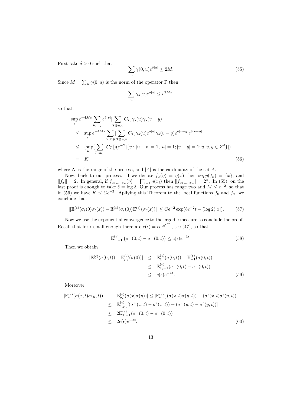First take  $\delta > 0$  such that

$$
\sum_{u} \gamma(0, u)e^{\delta|u|} \le 2M. \tag{55}
$$

Since  $M = \sum_{u} \gamma(0, u)$  is the norm of the operator  $\Gamma$  then

$$
\sum_{u} \gamma_s(u) e^{\delta |u|} \le e^{2Ms},
$$

so that:

$$
\sup_{s} e^{-4Ms} \sum_{u,v,y} e^{\delta|y|} \left[ \sum_{T \ni u,v} C_T \right] \gamma_s(u) \gamma_s(v-y)
$$
\n
$$
\leq \sup_{s} e^{-4Ms} \sum_{u,v,y} \left[ \sum_{T \ni u,v} C_T \right] \gamma_s(u) e^{\delta|u|} \gamma_s(v-y) e^{\delta|v-y|} e^{\delta|v-u|}
$$
\n
$$
\leq (\sup_{u,v} \left[ \sum_{T \ni u,v} C_T \right] \gamma_s(v) \left[ \{ v : |u-v| = 1, |u| = 1; |v-y| = 1; u, v, y \in Z^d \} \right])
$$
\n
$$
= K,
$$
\n(56)

where  $N$  is the range of the process, and  $|A|$  is the cardinality of the set  $A$ .

Now, back to our process. If we denote  $f_x(\eta) = \eta(x)$  then  $supp(f_x) = \{x\}$ , and  $||f_x|| = 2$ . In general, if  $f_{x_1,...,x_n}(\eta) = \prod_{i=1}^n \eta(x_i)$  then  $||f_{x_1,...,x_n}|| = 2^n$ . In (55), on the last proof is enough to take  $\delta = \log 2$ . Our process has range two and  $M \leq \epsilon^{-2}$ , so that in (56) we have  $K \leq C\epsilon^{-2}$ . Apliying this Theorem to the local functions  $f_0$  and  $f_x$ , we conclude that:

$$
\|\mathbb{E}^{(\epsilon)}(\sigma_t(0)\sigma_t(x)) - \mathbb{E}^{(\epsilon)}(\sigma_t(0))\mathbb{E}^{(\epsilon)}(\sigma_t(x))\| \le C\epsilon^{-2}\exp(8\epsilon^{-2}t - (\log 2)|x|). \tag{57}
$$

Now we use the exponential convergence to the ergodic measure to conclude the proof. Recall that for  $\epsilon$  small enough there are  $c(\epsilon) = ce^{ce^{-a}}$ , see (47), so that:

$$
\mathbb{E}_{1,-1}^{(\epsilon)}\left(\sigma^+(0,t)-\sigma^-(0,t)\right) \le c(\epsilon)e^{-\lambda t}.\tag{58}
$$

Then we obtain

$$
|\mathbb{E}_{\sigma}^{(\epsilon)}(\sigma(0,t)) - \mathbb{E}_{\mu_{\epsilon}}^{(\epsilon)}(\sigma(0))| \leq \mathbb{E}_{\mathbf{1}}^{(\epsilon)}(\sigma(0,t)) - \mathbb{E}_{-\mathbf{1}}^{(\epsilon)}(\sigma(0,t))
$$
  

$$
\leq \mathbb{E}_{\mathbf{1},-\mathbf{1}}^{(\epsilon)}(\sigma^{+}(0,t) - \sigma^{-}(0,t))
$$
  

$$
\leq c(\epsilon)e^{-\lambda t}.
$$
 (59)

Moreover

$$
|\mathbb{E}_{\sigma}^{(\epsilon)}(\sigma(x,t)\sigma(y,t)) - \mathbb{E}_{\mu_{\epsilon}}^{(\epsilon)}(\sigma(x)\sigma(y))| \leq |\mathbb{E}_{\sigma,\mu_{\epsilon}}^{(\epsilon)}(\sigma(x,t)\sigma(y,t)) - (\sigma^{\epsilon}(x,t)\sigma^{\epsilon}(y,t))|
$$
  
\n
$$
\leq \mathbb{E}_{1,\mu_{\epsilon}}^{(\epsilon)}[(\sigma^{+}(x,t) - \sigma^{\epsilon}(x,t)) + (\sigma^{+}(y,t) - \sigma^{\epsilon}(y,t))]
$$
  
\n
$$
\leq 2\mathbb{E}_{1,-1}^{(\epsilon)}(\sigma^{+}(0,t) - \sigma^{-}(0,t))
$$
  
\n
$$
\leq 2c(\epsilon)e^{-\lambda t}.
$$
 (60)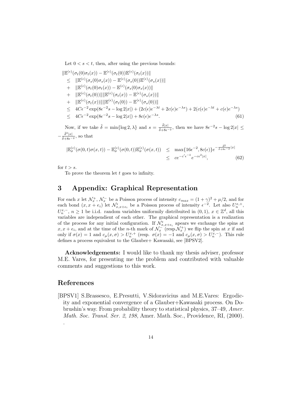Let  $0 \lt s \lt t$ , then, after using the previous bounds:

$$
\begin{split}\n&\|\mathbb{E}^{(\epsilon)}(\sigma_t(0)\sigma_t(x)) - \mathbb{E}^{(\epsilon)}(\sigma_t(0))\mathbb{E}^{(\epsilon)}(\sigma_t(x))\| \\
&\leq \|\mathbb{E}^{(\epsilon)}(\sigma_s(0)\sigma_s(x)) - \mathbb{E}^{(\epsilon)}(\sigma_s(0))\mathbb{E}^{(\epsilon)}(\sigma_s(x))\| \\
&+ \|\mathbb{E}^{(\epsilon)}(\sigma_t(0)\sigma_t(x)) - \mathbb{E}^{(\epsilon)}(\sigma_s(0)\sigma_s(x))\| \\
&+ \|\mathbb{E}^{(\epsilon)}(\sigma_t(0))\| \|\mathbb{E}^{(\epsilon)}(\sigma_t(x)) - \mathbb{E}^{(\epsilon)}(\sigma_s(x))\| \\
&+ \|\mathbb{E}^{(\epsilon)}(\sigma_t(x))\| \|\mathbb{E}^{(\epsilon)}(\sigma_t(0)) - \mathbb{E}^{(\epsilon)}(\sigma_s(0))\| \\
&\leq 4C\epsilon^{-2} \exp(8\epsilon^{-2}s - \log 2|x|) + (2c(\epsilon)e^{-\lambda t} + 2c(\epsilon)e^{-\lambda s}) + 2(c(\epsilon)e^{-\lambda t} + c(\epsilon)e^{-\lambda s}) \\
&\leq 4C\epsilon^{-2} \exp(8\epsilon^{-2}s - \log 2|x|) + 8c(\epsilon)e^{-\lambda s}.\n\end{split} \tag{61}
$$

Now, if we take  $\tilde{\delta} = \min\{\log 2, \lambda\}$  and  $s = \frac{\tilde{\delta}|x|}{\tilde{\delta} + 8\epsilon^2}$  $\frac{\delta |x|}{\delta + 8\epsilon^{-2}}$ , then we have  $8\epsilon^{-2}s - \log 2|x| \leq$  $-\frac{\tilde{\delta}^2|x|}{\tilde{\delta}+8\epsilon^{-2}},$  so that

$$
|\mathbb{E}_{\sigma}^{(\epsilon)}(\sigma(0,t)\sigma(x,t)) - \mathbb{E}_{\sigma}^{(\epsilon)}(\sigma(0,t))\mathbb{E}_{\sigma}^{(\epsilon)}(\sigma(x,t))| \leq \max\{16\epsilon^{-2}, 8c(\epsilon)\}e^{-\frac{\tilde{\delta}^{2}}{\tilde{\delta}+8\epsilon^{-2}}|x|} \leq c e^{-c'\epsilon^{-\tilde{a}}}e^{-c\epsilon^{2}|x|}, \tag{62}
$$

for  $t > s$ .

To prove the theorem let  $t$  goes to infinity.

## 3 Appendix: Graphical Representation

For each x let  $\mathcal{N}_x^+$ ,  $\mathcal{N}_x^-$  be a Poisson process of intensity  $c_{max} = (1 + \gamma)^2 + \mu/2$ , and for each bond  $(x, x + e_i)$  let  $\mathcal{N}_{x, x+e_i}^{\epsilon}$  be a Poisson process of intensity  $\epsilon^{-2}$ . Let also  $U_n^{x,+}$ ,  $U_n^{x,-}$ ,  $n \geq 1$  be i.i.d. random variables uniformily distribuited in  $(0,1)$ ,  $x \in \mathbb{Z}^d$ , all this variables are independient of each other. The graphical representation is a realization of the process for any initial configuration. If  $\mathcal{N}_{x,x+e_i}^{\epsilon}$  apears we exchange the spins at  $x, x + e_i$ , and at the time of the *n*-th mark of  $\mathcal{N}_x^-$  (resp.  $\mathcal{N}_x^+$ ) we flip the spin at x if and only if  $\sigma(x) = 1$  and  $c_{\mu}(x, \sigma) > U_n^{x,+}$  (resp.  $\sigma(x) = -1$  and  $c_{\mu}(x, \sigma) > U_n^{x,-}$ ). This rule defines a process equivalent to the Glauber+ Kawasaki, see [BPSV2].

Acknowledgements: I would like to thank my thesis adviser, professor M.E. Vares, for presenting me the problem and contributed with valuable comments and suggestions to this work.

## References

[BPSV1] S.Brassesco, E.Presutti, V.Sidoravicius and M.E.Vares: Ergodicity and exponential convergence of a Glauber+Kawasaki process. On Dobrushin's way. From probability theory to statistical physics, 37–49, Amer. Math. Soc. Transl. Ser. 2, 198, Amer. Math. Soc., Providence, RI, (2000). .